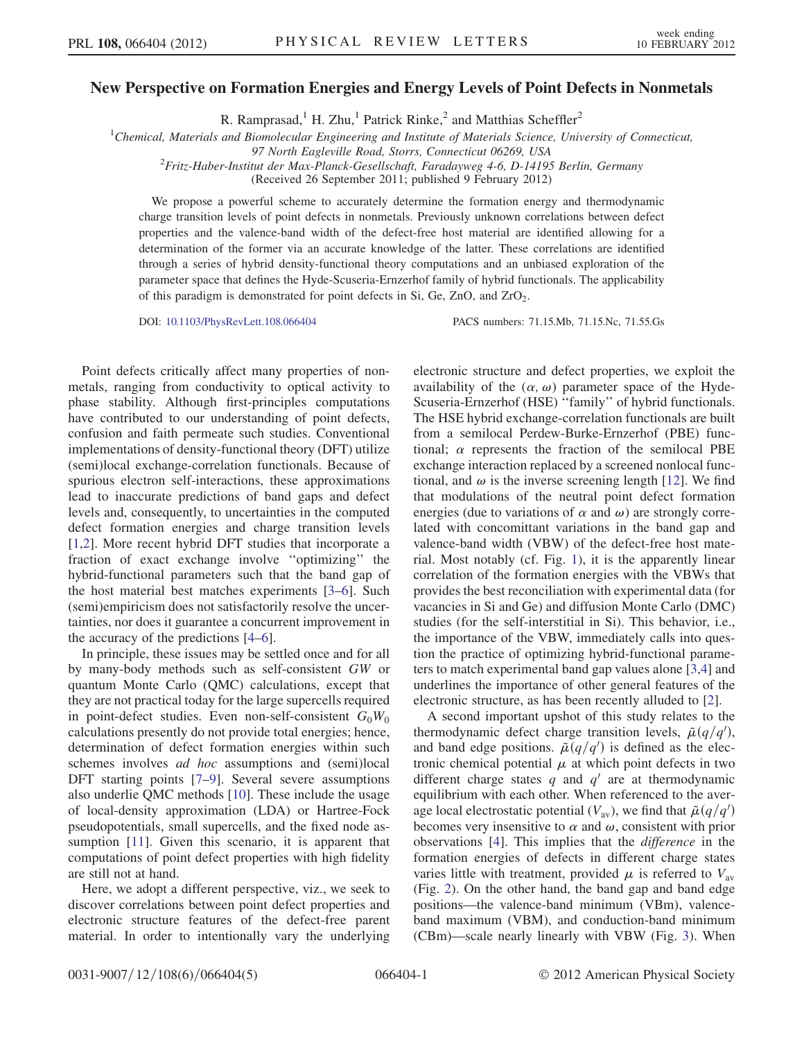## New Perspective on Formation Energies and Energy Levels of Point Defects in Nonmetals

R. Ramprasad,<sup>1</sup> H. Zhu,<sup>1</sup> Patrick Rinke,<sup>2</sup> and Matthias Scheffler<sup>2</sup>

<sup>1</sup>Chemical, Materials and Biomolecular Engineering and Institute of Materials Science, University of Connecticut,

97 North Eagleville Road, Storrs, Connecticut 06269, USA<br><sup>2</sup>Fritz-Haber-Institut der Max-Planck-Gesellschaft, Faradayweg 4-6, D-14195 Berlin, Germany

(Received 26 September 2011; published 9 February 2012)

We propose a powerful scheme to accurately determine the formation energy and thermodynamic charge transition levels of point defects in nonmetals. Previously unknown correlations between defect properties and the valence-band width of the defect-free host material are identified allowing for a determination of the former via an accurate knowledge of the latter. These correlations are identified through a series of hybrid density-functional theory computations and an unbiased exploration of the parameter space that defines the Hyde-Scuseria-Ernzerhof family of hybrid functionals. The applicability of this paradigm is demonstrated for point defects in Si, Ge, ZnO, and  $ZrO<sub>2</sub>$ .

DOI: [10.1103/PhysRevLett.108.066404](http://dx.doi.org/10.1103/PhysRevLett.108.066404) PACS numbers: 71.15.Mb, 71.15.Nc, 71.55.Gs

Point defects critically affect many properties of nonmetals, ranging from conductivity to optical activity to phase stability. Although first-principles computations have contributed to our understanding of point defects, confusion and faith permeate such studies. Conventional implementations of density-functional theory (DFT) utilize (semi)local exchange-correlation functionals. Because of spurious electron self-interactions, these approximations lead to inaccurate predictions of band gaps and defect levels and, consequently, to uncertainties in the computed defect formation energies and charge transition levels [\[1,](#page-4-0)[2](#page-4-1)]. More recent hybrid DFT studies that incorporate a fraction of exact exchange involve ''optimizing'' the hybrid-functional parameters such that the band gap of the host material best matches experiments [[3](#page-4-2)[–6](#page-4-3)]. Such (semi)empiricism does not satisfactorily resolve the uncertainties, nor does it guarantee a concurrent improvement in the accuracy of the predictions [[4](#page-4-4)[–6](#page-4-3)].

In principle, these issues may be settled once and for all by many-body methods such as self-consistent GW or quantum Monte Carlo (QMC) calculations, except that they are not practical today for the large supercells required in point-defect studies. Even non-self-consistent  $G_0W_0$ calculations presently do not provide total energies; hence, determination of defect formation energies within such schemes involves *ad hoc* assumptions and (semi)local DFT starting points [\[7](#page-4-5)–[9\]](#page-4-6). Several severe assumptions also underlie QMC methods [[10](#page-4-7)]. These include the usage of local-density approximation (LDA) or Hartree-Fock pseudopotentials, small supercells, and the fixed node assumption [[11](#page-4-8)]. Given this scenario, it is apparent that computations of point defect properties with high fidelity are still not at hand.

Here, we adopt a different perspective, viz., we seek to discover correlations between point defect properties and electronic structure features of the defect-free parent material. In order to intentionally vary the underlying electronic structure and defect properties, we exploit the availability of the  $(\alpha, \omega)$  parameter space of the Hyde-Scuseria-Ernzerhof (HSE) ''family'' of hybrid functionals. The HSE hybrid exchange-correlation functionals are built from a semilocal Perdew-Burke-Ernzerhof (PBE) functional;  $\alpha$  represents the fraction of the semilocal PBE exchange interaction replaced by a screened nonlocal functional, and  $\omega$  is the inverse screening length [[12](#page-4-9)]. We find that modulations of the neutral point defect formation energies (due to variations of  $\alpha$  and  $\omega$ ) are strongly correlated with concomittant variations in the band gap and valence-band width (VBW) of the defect-free host material. Most notably (cf. Fig. [1](#page-1-0)), it is the apparently linear correlation of the formation energies with the VBWs that provides the best reconciliation with experimental data (for vacancies in Si and Ge) and diffusion Monte Carlo (DMC) studies (for the self-interstitial in Si). This behavior, i.e., the importance of the VBW, immediately calls into question the practice of optimizing hybrid-functional parameters to match experimental band gap values alone [[3](#page-4-2),[4](#page-4-4)] and underlines the importance of other general features of the electronic structure, as has been recently alluded to [[2](#page-4-1)].

A second important upshot of this study relates to the thermodynamic defect charge transition levels,  $\tilde{\mu}(q/q')$ , and band edge positions.  $\tilde{\mu}(q/q')$  is defined as the electronic chemical potential  $\mu$  at which point defects in two different charge states q and  $q'$  are at thermodynamic equilibrium with each other. When referenced to the average local electrostatic potential  $(V_{\text{av}})$ , we find that  $\tilde{\mu}(q/q')$ becomes very insensitive to  $\alpha$  and  $\omega$ , consistent with prior observations [[4\]](#page-4-4). This implies that the difference in the formation energies of defects in different charge states varies little with treatment, provided  $\mu$  is referred to  $V_{\text{av}}$ (Fig. [2\)](#page-1-1). On the other hand, the band gap and band edge positions—the valence-band minimum (VBm), valenceband maximum (VBM), and conduction-band minimum (CBm)—scale nearly linearly with VBW (Fig. [3](#page-1-2)). When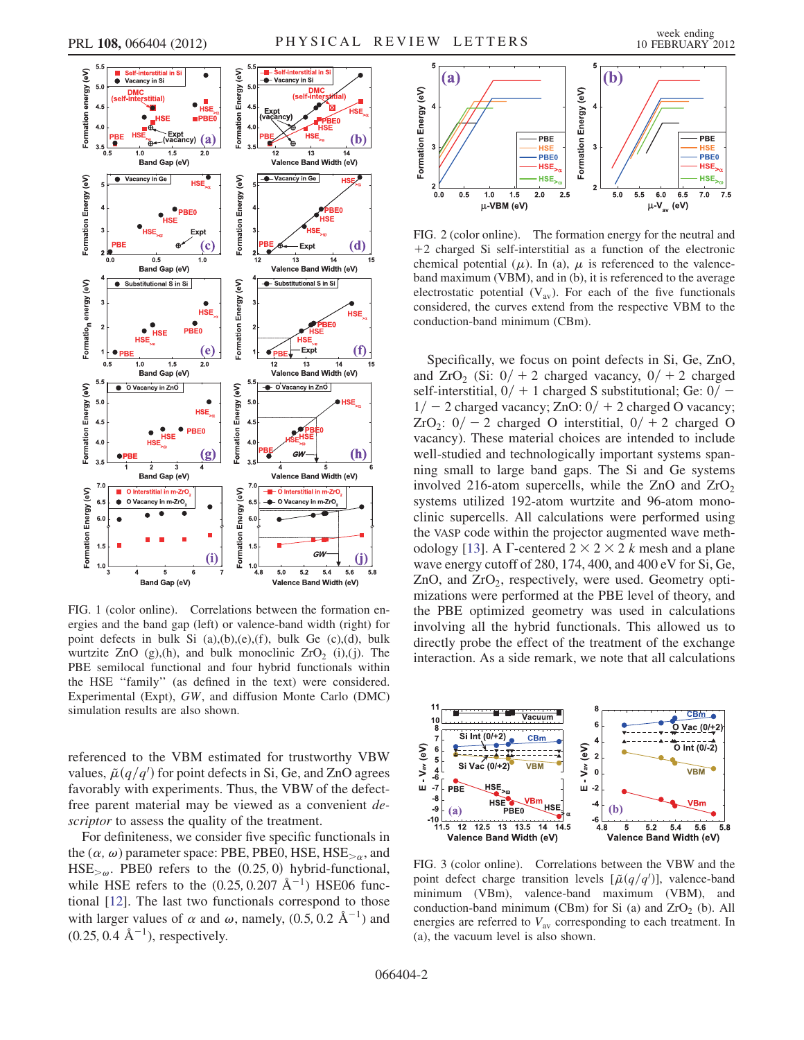<span id="page-1-0"></span>

<span id="page-1-3"></span>FIG. 1 (color online). Correlations between the formation energies and the band gap (left) or valence-band width (right) for point defects in bulk Si (a),(b),(e),(f), bulk Ge (c),(d), bulk wurtzite ZnO  $(g)$ ,(h), and bulk monoclinic ZrO<sub>2</sub> (i),(j). The PBE semilocal functional and four hybrid functionals within the HSE ''family'' (as defined in the text) were considered. Experimental (Expt), GW, and diffusion Monte Carlo (DMC) simulation results are also shown.

referenced to the VBM estimated for trustworthy VBW values,  $\tilde{\mu}(q/q')$  for point defects in Si, Ge, and ZnO agrees favorably with experiments. Thus, the VBW of the defectfree parent material may be viewed as a convenient descriptor to assess the quality of the treatment.

For definiteness, we consider five specific functionals in the  $(\alpha, \omega)$  parameter space: PBE, PBE0, HSE, HSE $_{>\alpha}$ , and  $HSE_{\geq \omega}$ . PBE0 refers to the  $(0.25, 0)$  hybrid-functional, while HSE refers to the  $(0.25, 0.207 \text{ Å}^{-1})$  HSE06 functional [\[12\]](#page-4-9). The last two functionals correspond to those with larger values of  $\alpha$  and  $\omega$ , namely, (0.5, 0.2 Å<sup>-1</sup>) and  $(0.25, 0.4 \text{ Å}^{-1})$ , respectively.

<span id="page-1-1"></span>

<span id="page-1-4"></span>FIG. 2 (color online). The formation energy for the neutral and  $+2$  charged Si self-interstitial as a function of the electronic chemical potential ( $\mu$ ). In (a),  $\mu$  is referenced to the valenceband maximum (VBM), and in (b), it is referenced to the average electrostatic potential  $(V_{av})$ . For each of the five functionals considered, the curves extend from the respective VBM to the conduction-band minimum (CBm).

Specifically, we focus on point defects in Si, Ge, ZnO, and ZrO<sub>2</sub> (Si:  $0/ + 2$  charged vacancy,  $0/ + 2$  charged self-interstitial,  $0/ + 1$  charged S substitutional; Ge:  $0/$  –  $1/ - 2$  charged vacancy; ZnO:  $0/ + 2$  charged O vacancy;  $ZrO_2$ :  $0/- 2$  charged O interstitial,  $0/+ 2$  charged O vacancy). These material choices are intended to include well-studied and technologically important systems spanning small to large band gaps. The Si and Ge systems involved 216-atom supercells, while the ZnO and  $ZrO<sub>2</sub>$ systems utilized 192-atom wurtzite and 96-atom monoclinic supercells. All calculations were performed using the VASP code within the projector augmented wave meth-odology [[13](#page-4-10)]. A  $\Gamma$ -centered  $2 \times 2 \times 2$  k mesh and a plane wave energy cutoff of 280, 174, 400, and 400 eV for Si, Ge, ZnO, and  $ZrO<sub>2</sub>$ , respectively, were used. Geometry optimizations were performed at the PBE level of theory, and the PBE optimized geometry was used in calculations involving all the hybrid functionals. This allowed us to directly probe the effect of the treatment of the exchange interaction. As a side remark, we note that all calculations

<span id="page-1-2"></span>

<span id="page-1-5"></span>FIG. 3 (color online). Correlations between the VBW and the point defect charge transition levels  $[\tilde{\mu}(q/q')]$ , valence-band minimum (VBm), valence-band maximum (VBM), and conduction-band minimum (CBm) for Si (a) and  $ZrO<sub>2</sub>$  (b). All energies are referred to  $V_{\text{av}}$  corresponding to each treatment. In (a), the vacuum level is also shown.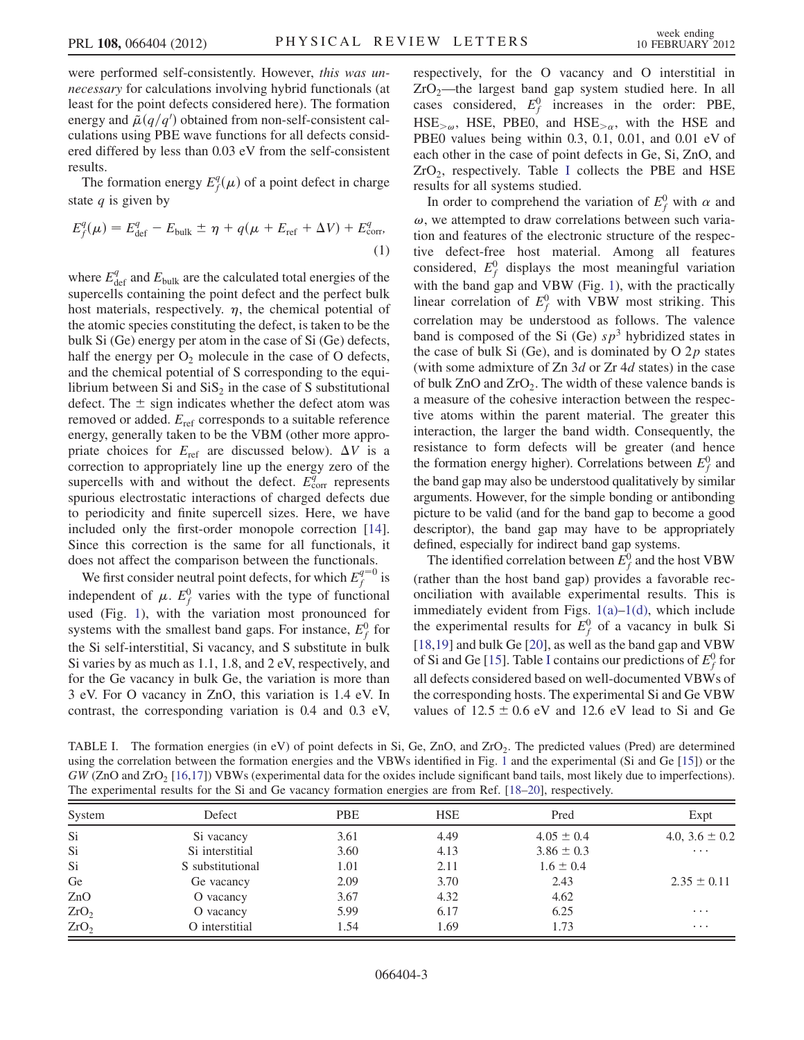were performed self-consistently. However, this was unnecessary for calculations involving hybrid functionals (at least for the point defects considered here). The formation energy and  $\mu(q/q')$  obtained from non-self-consistent calculations using PBE wave functions for all defects considered differed by less than 0.03 eV from the self-consistent results.

The formation energy  $E_f^q(\mu)$  of a point defect in charge state  $q$  is given by

$$
E_f^q(\mu) = E_{\text{def}}^q - E_{\text{bulk}} \pm \eta + q(\mu + E_{\text{ref}} + \Delta V) + E_{\text{corr}}^q,\tag{1}
$$

where  $E_{\text{def}}^q$  and  $E_{\text{bulk}}$  are the calculated total energies of the supercells containing the point defect and the perfect bulk host materials, respectively.  $\eta$ , the chemical potential of the atomic species constituting the defect, is taken to be the bulk Si (Ge) energy per atom in the case of Si (Ge) defects, half the energy per  $O_2$  molecule in the case of O defects, and the chemical potential of S corresponding to the equilibrium between Si and  $SiS<sub>2</sub>$  in the case of S substitutional defect. The  $\pm$  sign indicates whether the defect atom was removed or added.  $E_{\text{ref}}$  corresponds to a suitable reference energy, generally taken to be the VBM (other more appropriate choices for  $E_{ref}$  are discussed below).  $\Delta V$  is a correction to appropriately line up the energy zero of the supercells with and without the defect.  $E_{\text{corr}}^q$  represents spurious electrostatic interactions of charged defects due to periodicity and finite supercell sizes. Here, we have included only the first-order monopole correction [\[14\]](#page-4-11). Since this correction is the same for all functionals, it does not affect the comparison between the functionals.

We first consider neutral point defects, for which  $E_f^{q=0}$  is independent of  $\mu$ .  $E_f^0$  varies with the type of functional used (Fig. [1](#page-1-0)), with the variation most pronounced for systems with the smallest band gaps. For instance,  $E_f^0$  for the Si self-interstitial, Si vacancy, and S substitute in bulk Si varies by as much as 1.1, 1.8, and 2 eV, respectively, and for the Ge vacancy in bulk Ge, the variation is more than 3 eV. For O vacancy in ZnO, this variation is 1.4 eV. In contrast, the corresponding variation is 0.4 and 0.3 eV, respectively, for the O vacancy and O interstitial in  $ZrO<sub>2</sub>$ —the largest band gap system studied here. In all cases considered,  $E_f^0$  increases in the order: PBE,  $HSE_{>\omega}$ , HSE, PBE0, and HSE<sub> $>\alpha$ </sub>, with the HSE and PBE0 values being within 0.3, 0.1, 0.01, and 0.01 eV of each other in the case of point defects in Ge, Si, ZnO, and  $ZrO<sub>2</sub>$ , respectively. Table [I](#page-2-0) collects the PBE and HSE results for all systems studied.

In order to comprehend the variation of  $E_f^0$  with  $\alpha$  and  $\omega$ , we attempted to draw correlations between such variation and features of the electronic structure of the respective defect-free host material. Among all features considered,  $E_f^0$  displays the most meaningful variation with the band gap and VBW (Fig. [1\)](#page-1-0), with the practically linear correlation of  $E_f^0$  with VBW most striking. This correlation may be understood as follows. The valence band is composed of the Si (Ge)  $sp^3$  hybridized states in the case of bulk Si (Ge), and is dominated by O  $2p$  states (with some admixture of  $Zn$  3d or  $Zr$  4d states) in the case of bulk  $ZnO$  and  $ZrO<sub>2</sub>$ . The width of these valence bands is a measure of the cohesive interaction between the respective atoms within the parent material. The greater this interaction, the larger the band width. Consequently, the resistance to form defects will be greater (and hence the formation energy higher). Correlations between  $E_f^0$  and the band gap may also be understood qualitatively by similar arguments. However, for the simple bonding or antibonding picture to be valid (and for the band gap to become a good descriptor), the band gap may have to be appropriately defined, especially for indirect band gap systems.

The identified correlation between  $E_f^0$  and the host VBW (rather than the host band gap) provides a favorable reconciliation with available experimental results. This is immediately evident from Figs. [1\(a\)–1\(d\),](#page-1-3) which include the experimental results for  $E_f^0$  of a vacancy in bulk Si [\[18](#page-4-12)[,19\]](#page-4-13) and bulk Ge [\[20\]](#page-4-14), as well as the band gap and VBW of Si and Ge [[15](#page-4-15)]. Table [I](#page-2-0) contains our predictions of  $E_f^0$  for all defects considered based on well-documented VBWs of the corresponding hosts. The experimental Si and Ge VBW values of  $12.5 \pm 0.6$  eV and 12.6 eV lead to Si and Ge

<span id="page-2-0"></span>TABLE I. The formation energies (in eV) of point defects in Si, Ge, ZnO, and ZrO<sub>2</sub>. The predicted values (Pred) are determined using the correlation between the formation energies and the VBWs identified in Fig. [1](#page-1-0) and the experimental (Si and Ge [\[15\]](#page-4-15)) or the  $GW$  (ZnO and ZrO<sub>2</sub> [[16](#page-4-16),[17\]](#page-4-17)) VBWs (experimental data for the oxides include significant band tails, most likely due to imperfections). The experimental results for the Si and Ge vacancy formation energies are from Ref. [[18](#page-4-12)–[20](#page-4-14)], respectively.

| System           | Defect           | <b>PBE</b> | <b>HSE</b> | Pred           | Expt               |
|------------------|------------------|------------|------------|----------------|--------------------|
| Si               | Si vacancy       | 3.61       | 4.49       | $4.05 \pm 0.4$ | 4.0, $3.6 \pm 0.2$ |
| Si               | Si interstitial  | 3.60       | 4.13       | $3.86 \pm 0.3$ | $\cdots$           |
| Si               | S substitutional | 1.01       | 2.11       | $1.6 \pm 0.4$  |                    |
| Ge               | Ge vacancy       | 2.09       | 3.70       | 2.43           | $2.35 \pm 0.11$    |
| ZnO              | O vacancy        | 3.67       | 4.32       | 4.62           |                    |
| ZrO <sub>2</sub> | O vacancy        | 5.99       | 6.17       | 6.25           | $\cdots$           |
| ZrO <sub>2</sub> | O interstitial   | 1.54       | 1.69       | 1.73           | $\cdots$           |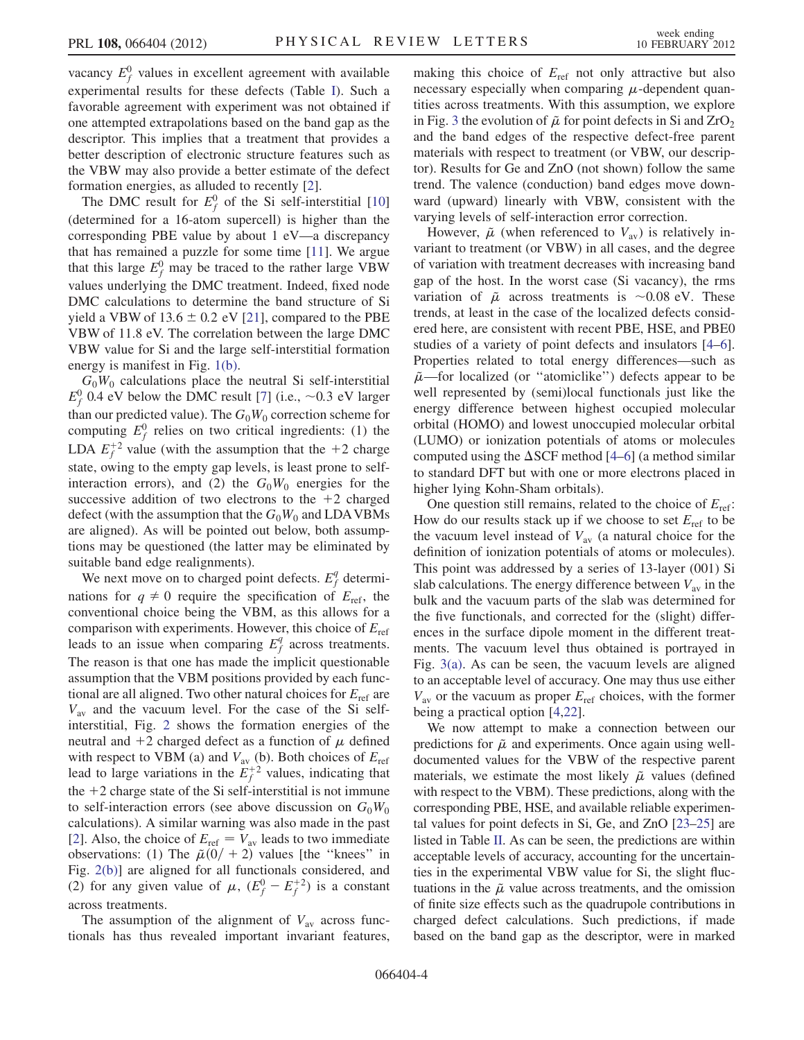vacancy  $E_f^0$  values in excellent agreement with available experimental results for these defects (Table [I\)](#page-2-0). Such a favorable agreement with experiment was not obtained if one attempted extrapolations based on the band gap as the descriptor. This implies that a treatment that provides a better description of electronic structure features such as the VBW may also provide a better estimate of the defect formation energies, as alluded to recently [\[2](#page-4-1)].

The DMC result for  $E_f^0$  of the Si self-interstitial [\[10\]](#page-4-7) (determined for a 16-atom supercell) is higher than the corresponding PBE value by about 1 eV—a discrepancy that has remained a puzzle for some time [[11](#page-4-8)]. We argue that this large  $E_f^0$  may be traced to the rather large VBW values underlying the DMC treatment. Indeed, fixed node DMC calculations to determine the band structure of Si yield a VBW of 13.6  $\pm$  0.2 eV [[21](#page-4-18)], compared to the PBE VBW of 11.8 eV. The correlation between the large DMC VBW value for Si and the large self-interstitial formation energy is manifest in Fig. [1\(b\).](#page-1-3)

 $G_0W_0$  calculations place the neutral Si self-interstitial  $E_f^0$  0.4 eV below the DMC result [\[7\]](#page-4-5) (i.e., ~0.3 eV larger than our predicted value). The  $G_0W_0$  correction scheme for computing  $E_f^0$  relies on two critical ingredients: (1) the LDA  $E_f^{+2}$  value (with the assumption that the +2 charge state, owing to the empty gap levels, is least prone to selfinteraction errors), and (2) the  $G_0W_0$  energies for the successive addition of two electrons to the  $+2$  charged defect (with the assumption that the  $G_0W_0$  and LDAVBMs are aligned). As will be pointed out below, both assumptions may be questioned (the latter may be eliminated by suitable band edge realignments).

We next move on to charged point defects.  $E_f^q$  determinations for  $q \neq 0$  require the specification of  $E_{\text{ref}}$ , the conventional choice being the VBM, as this allows for a comparison with experiments. However, this choice of  $E_{ref}$ leads to an issue when comparing  $E_f^q$  across treatments. The reason is that one has made the implicit questionable assumption that the VBM positions provided by each functional are all aligned. Two other natural choices for  $E_{\text{ref}}$  are  $V_{\text{av}}$  and the vacuum level. For the case of the Si selfinterstitial, Fig. [2](#page-1-1) shows the formation energies of the neutral and +2 charged defect as a function of  $\mu$  defined with respect to VBM (a) and  $V_{\text{av}}$  (b). Both choices of  $E_{\text{ref}}$ lead to large variations in the  $E_f^{+2}$  values, indicating that the  $+2$  charge state of the Si self-interstitial is not immune to self-interaction errors (see above discussion on  $G_0W_0$ calculations). A similar warning was also made in the past [\[2\]](#page-4-1). Also, the choice of  $E_{ref} = V_{av}$  leads to two immediate observations: (1) The  $\tilde{\mu}(0/ + 2)$  values [the "knees" in Fig. [2\(b\)\]](#page-1-4) are aligned for all functionals considered, and (2) for any given value of  $\mu$ ,  $(E_f^0 - E_f^{+2})$  is a constant across treatments.

The assumption of the alignment of  $V_{\text{av}}$  across functionals has thus revealed important invariant features, making this choice of  $E_{ref}$  not only attractive but also necessary especially when comparing  $\mu$ -dependent quantities across treatments. With this assumption, we explore in Fig. [3](#page-1-2) the evolution of  $\tilde{\mu}$  for point defects in Si and  $\overline{\mathrm{ZrO}_2}$ and the band edges of the respective defect-free parent materials with respect to treatment (or VBW, our descriptor). Results for Ge and ZnO (not shown) follow the same trend. The valence (conduction) band edges move downward (upward) linearly with VBW, consistent with the varying levels of self-interaction error correction.

However,  $\tilde{\mu}$  (when referenced to  $V_{\text{av}}$ ) is relatively invariant to treatment (or VBW) in all cases, and the degree of variation with treatment decreases with increasing band gap of the host. In the worst case (Si vacancy), the rms variation of  $\tilde{\mu}$  across treatments is ~0.08 eV. These trends, at least in the case of the localized defects considered here, are consistent with recent PBE, HSE, and PBE0 studies of a variety of point defects and insulators [\[4–](#page-4-4)[6\]](#page-4-3). Properties related to total energy differences—such as  $\tilde{\mu}$ —for localized (or "atomiclike") defects appear to be well represented by (semi)local functionals just like the energy difference between highest occupied molecular orbital (HOMO) and lowest unoccupied molecular orbital (LUMO) or ionization potentials of atoms or molecules computed using the  $\Delta$ SCF method [[4](#page-4-4)[–6\]](#page-4-3) (a method similar to standard DFT but with one or more electrons placed in higher lying Kohn-Sham orbitals).

One question still remains, related to the choice of  $E_{ref}$ : How do our results stack up if we choose to set  $E_{\text{ref}}$  to be the vacuum level instead of  $V_{av}$  (a natural choice for the definition of ionization potentials of atoms or molecules). This point was addressed by a series of 13-layer (001) Si slab calculations. The energy difference between  $V_{av}$  in the bulk and the vacuum parts of the slab was determined for the five functionals, and corrected for the (slight) differences in the surface dipole moment in the different treatments. The vacuum level thus obtained is portrayed in Fig. [3\(a\)](#page-1-5). As can be seen, the vacuum levels are aligned to an acceptable level of accuracy. One may thus use either  $V_{\text{av}}$  or the vacuum as proper  $E_{\text{ref}}$  choices, with the former being a practical option [[4](#page-4-4)[,22\]](#page-4-19).

We now attempt to make a connection between our predictions for  $\tilde{\mu}$  and experiments. Once again using welldocumented values for the VBW of the respective parent materials, we estimate the most likely  $\tilde{\mu}$  values (defined with respect to the VBM). These predictions, along with the corresponding PBE, HSE, and available reliable experimental values for point defects in Si, Ge, and ZnO [\[23](#page-4-20)–[25\]](#page-4-21) are listed in Table [II.](#page-4-22) As can be seen, the predictions are within acceptable levels of accuracy, accounting for the uncertainties in the experimental VBW value for Si, the slight fluctuations in the  $\tilde{\mu}$  value across treatments, and the omission of finite size effects such as the quadrupole contributions in charged defect calculations. Such predictions, if made based on the band gap as the descriptor, were in marked